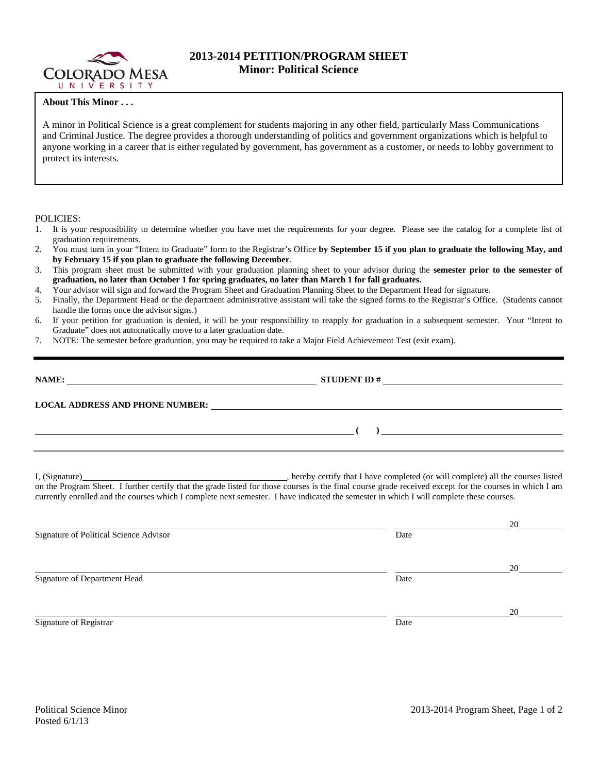

## **2013-2014 PETITION/PROGRAM SHEET Minor: Political Science**

## **About This Minor . . .**

A minor in Political Science is a great complement for students majoring in any other field, particularly Mass Communications and Criminal Justice. The degree provides a thorough understanding of politics and government organizations which is helpful to anyone working in a career that is either regulated by government, has government as a customer, or needs to lobby government to protect its interests.

## POLICIES:

- 1. It is your responsibility to determine whether you have met the requirements for your degree. Please see the catalog for a complete list of graduation requirements.
- 2. You must turn in your "Intent to Graduate" form to the Registrar's Office **by September 15 if you plan to graduate the following May, and by February 15 if you plan to graduate the following December**.
- 3. This program sheet must be submitted with your graduation planning sheet to your advisor during the **semester prior to the semester of graduation, no later than October 1 for spring graduates, no later than March 1 for fall graduates.**
- 4. Your advisor will sign and forward the Program Sheet and Graduation Planning Sheet to the Department Head for signature.
- 5. Finally, the Department Head or the department administrative assistant will take the signed forms to the Registrar's Office. (Students cannot handle the forms once the advisor signs.)
- 6. If your petition for graduation is denied, it will be your responsibility to reapply for graduation in a subsequent semester. Your "Intent to Graduate" does not automatically move to a later graduation date.
- 7. NOTE: The semester before graduation, you may be required to take a Major Field Achievement Test (exit exam).

| LOCAL ADDRESS AND PHONE NUMBER: University of the contract of the contract of the contract of the contract of the contract of the contract of the contract of the contract of the contract of the contract of the contract of |  |
|-------------------------------------------------------------------------------------------------------------------------------------------------------------------------------------------------------------------------------|--|
|                                                                                                                                                                                                                               |  |
|                                                                                                                                                                                                                               |  |

I, (Signature) , hereby certify that I have completed (or will complete) all the courses listed on the Program Sheet. I further certify that the grade listed for those courses is the final course grade received except for the courses in which I am currently enrolled and the courses which I complete next semester. I have indicated the semester in which I will complete these courses.

|                                        |      | 20 |
|----------------------------------------|------|----|
| Signature of Political Science Advisor | Date |    |
|                                        |      |    |
|                                        |      | 20 |
| Signature of Department Head           | Date |    |
|                                        |      |    |
|                                        |      | 20 |
| Signature of Registrar                 | Date |    |
|                                        |      |    |